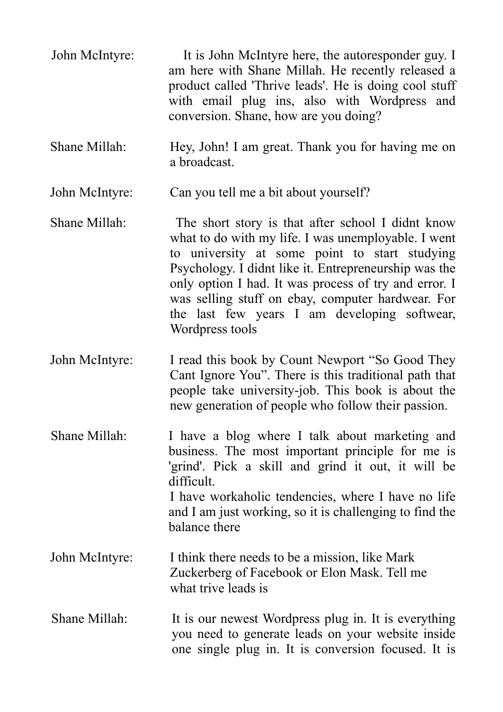- John McIntyre: It is John McIntyre here, the autoresponder guy. I am here with Shane Millah. He recently released a product called 'Thrive leads'. He is doing cool stuff with email plug ins, also with Wordpress and conversion. Shane, how are you doing?
- Shane Millah: Hey, John! I am great. Thank you for having me on a broadcast.
- John McIntyre: Can you tell me a bit about yourself?
- Shane Millah: The short story is that after school I didnt know what to do with my life. I was unemployable. I went to university at some point to start studying Psychology. I didnt like it. Entrepreneurship was the only option I had. It was process of try and error. I was selling stuff on ebay, computer hardwear. For the last few years I am developing softwear, Wordpress tools
- John McIntyre: I read this book by Count Newport "So Good They Cant Ignore You". There is this traditional path that people take university-job. This book is about the new generation of people who follow their passion.

Shane Millah: I have a blog where I talk about marketing and business. The most important principle for me is 'grind'. Pick a skill and grind it out, it will be difficult. I have workaholic tendencies, where I have no life and I am just working, so it is challenging to find the balance there

- John McIntyre: I think there needs to be a mission, like Mark Zuckerberg of Facebook or Elon Mask. Tell me what trive leads is
- Shane Millah: It is our newest Wordpress plug in. It is everything you need to generate leads on your website inside one single plug in. It is conversion focused. It is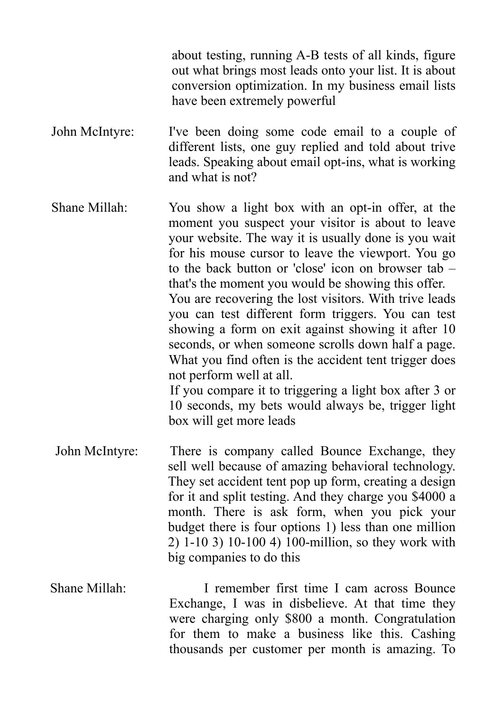about testing, running A-B tests of all kinds, figure out what brings most leads onto your list. It is about conversion optimization. In my business email lists have been extremely powerful

- John McIntyre: I've been doing some code email to a couple of different lists, one guy replied and told about trive leads. Speaking about email opt-ins, what is working and what is not?
- Shane Millah: You show a light box with an opt-in offer, at the moment you suspect your visitor is about to leave your website. The way it is usually done is you wait for his mouse cursor to leave the viewport. You go to the back button or 'close' icon on browser tab – that's the moment you would be showing this offer. You are recovering the lost visitors. With trive leads you can test different form triggers. You can test showing a form on exit against showing it after 10 seconds, or when someone scrolls down half a page. What you find often is the accident tent trigger does not perform well at all. If you compare it to triggering a light box after 3 or 10 seconds, my bets would always be, trigger light
- John McIntyre: There is company called Bounce Exchange, they sell well because of amazing behavioral technology. They set accident tent pop up form, creating a design for it and split testing. And they charge you \$4000 a month. There is ask form, when you pick your budget there is four options 1) less than one million 2) 1-10 3) 10-100 4) 100-million, so they work with big companies to do this

box will get more leads

Shane Millah: I remember first time I cam across Bounce Exchange, I was in disbelieve. At that time they were charging only \$800 a month. Congratulation for them to make a business like this. Cashing thousands per customer per month is amazing. To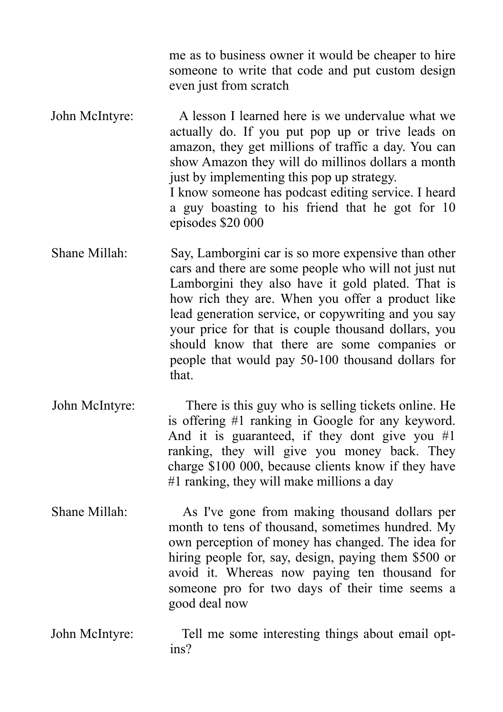me as to business owner it would be cheaper to hire someone to write that code and put custom design even just from scratch

John McIntyre: A lesson I learned here is we undervalue what we actually do. If you put pop up or trive leads on amazon, they get millions of traffic a day. You can show Amazon they will do millinos dollars a month just by implementing this pop up strategy. I know someone has podcast editing service. I heard a guy boasting to his friend that he got for 10 episodes \$20 000

- Shane Millah: Say, Lamborgini car is so more expensive than other cars and there are some people who will not just nut Lamborgini they also have it gold plated. That is how rich they are. When you offer a product like lead generation service, or copywriting and you say your price for that is couple thousand dollars, you should know that there are some companies or people that would pay 50-100 thousand dollars for that.
- John McIntyre: There is this guy who is selling tickets online. He is offering #1 ranking in Google for any keyword. And it is guaranteed, if they dont give you #1 ranking, they will give you money back. They charge \$100 000, because clients know if they have #1 ranking, they will make millions a day
- Shane Millah: As I've gone from making thousand dollars per month to tens of thousand, sometimes hundred. My own perception of money has changed. The idea for hiring people for, say, design, paying them \$500 or avoid it. Whereas now paying ten thousand for someone pro for two days of their time seems a good deal now
- John McIntyre: Tell me some interesting things about email optins?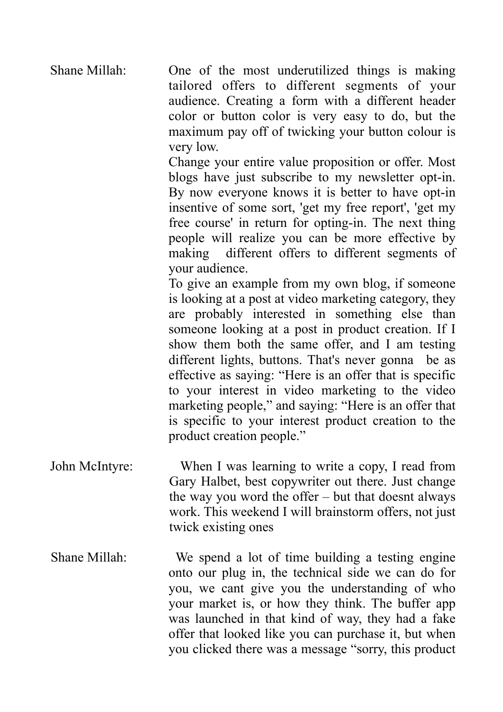Shane Millah: One of the most underutilized things is making tailored offers to different segments of your audience. Creating a form with a different header color or button color is very easy to do, but the maximum pay off of twicking your button colour is very low.

> Change your entire value proposition or offer. Most blogs have just subscribe to my newsletter opt-in. By now everyone knows it is better to have opt-in insentive of some sort, 'get my free report', 'get my free course' in return for opting-in. The next thing people will realize you can be more effective by making different offers to different segments of your audience.

> To give an example from my own blog, if someone is looking at a post at video marketing category, they are probably interested in something else than someone looking at a post in product creation. If I show them both the same offer, and I am testing different lights, buttons. That's never gonna be as effective as saying: "Here is an offer that is specific to your interest in video marketing to the video marketing people," and saying: "Here is an offer that is specific to your interest product creation to the product creation people."

- John McIntyre: When I was learning to write a copy, I read from Gary Halbet, best copywriter out there. Just change the way you word the offer – but that doesnt always work. This weekend I will brainstorm offers, not just twick existing ones
- Shane Millah: We spend a lot of time building a testing engine onto our plug in, the technical side we can do for you, we cant give you the understanding of who your market is, or how they think. The buffer app was launched in that kind of way, they had a fake offer that looked like you can purchase it, but when you clicked there was a message "sorry, this product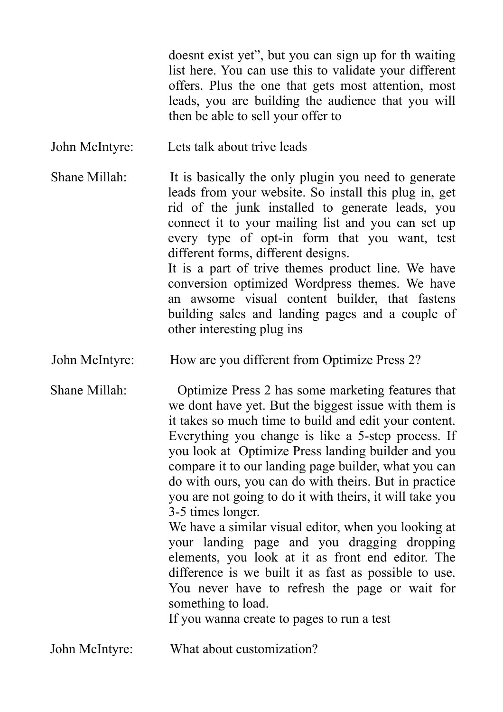doesnt exist yet", but you can sign up for th waiting list here. You can use this to validate your different offers. Plus the one that gets most attention, most leads, you are building the audience that you will then be able to sell your offer to

John McIntyre: Lets talk about trive leads

Shane Millah: It is basically the only plugin you need to generate leads from your website. So install this plug in, get rid of the junk installed to generate leads, you connect it to your mailing list and you can set up every type of opt-in form that you want, test different forms, different designs. It is a part of trive themes product line. We have conversion optimized Wordpress themes. We have an awsome visual content builder, that fastens building sales and landing pages and a couple of other interesting plug ins

John McIntyre: How are you different from Optimize Press 2?

Shane Millah: Optimize Press 2 has some marketing features that we dont have yet. But the biggest issue with them is it takes so much time to build and edit your content. Everything you change is like a 5-step process. If you look at Optimize Press landing builder and you compare it to our landing page builder, what you can do with ours, you can do with theirs. But in practice you are not going to do it with theirs, it will take you 3-5 times longer.

 We have a similar visual editor, when you looking at your landing page and you dragging dropping elements, you look at it as front end editor. The difference is we built it as fast as possible to use. You never have to refresh the page or wait for something to load.

If you wanna create to pages to run a test

John McIntyre: What about customization?